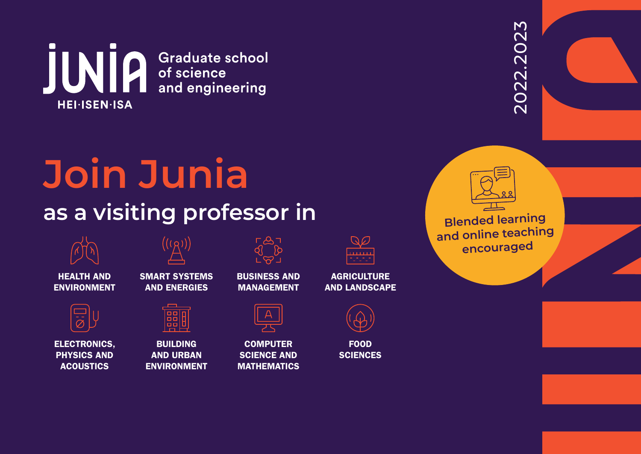

# **Join Junia as a visiting professor in**



HEALTH AND ENVIRONMENT



ELECTRONICS, PHYSICS AND ACOUSTICS



SMART SYSTEMS AND ENERGIES



BUILDING AND URBAN ENVIRONMENT

| $\sim$ |
|--------|
| 91 D   |
|        |
| − ∾ −  |
|        |
|        |

BUSINESS AND MANAGEMENT

| c |
|---|

**COMPUTER SCIENCE AND** MATHEMATICS

| <u> 1111111</u> |  |
|-----------------|--|
|                 |  |
|                 |  |

**AGRICULTURE** AND LANDSCAPE



FOOD **SCIENCES**  2022.2023 2022.2023



**Blended learning and online teaching encouraged**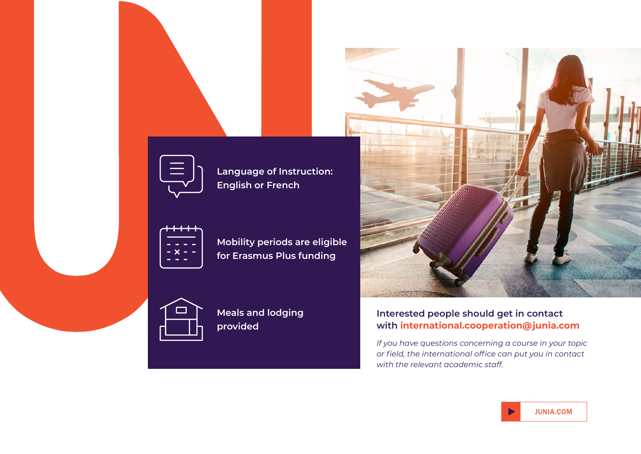

**Language of Instruction: English or French**



**Mobility periods are eligible for Erasmus Plus funding**



**Meals and lodging provided**



#### **Interested people should get in contact with international.cooperation@junia.com**

*If you have questions concerning a course in your topic or field, the international office can put you in contact with the relevant academic staff.*

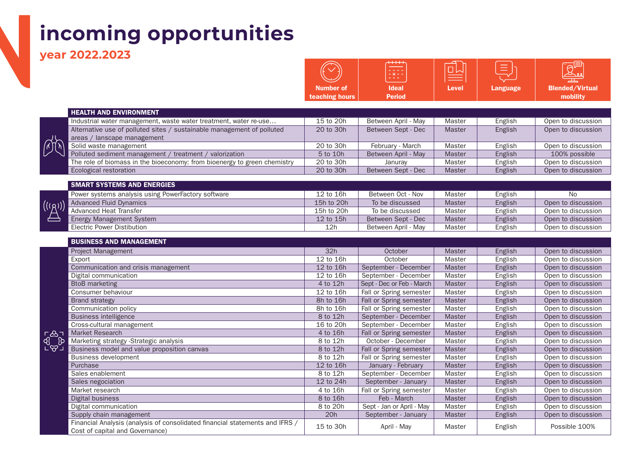# **incoming opportunities**

Financial Analysis (analysis of consolidated financial statements and IFRS /

**year 2022.2023** 

欣

 $\mathcal{L}^{\left(\left(\ell_{\text{r}}\right)\right)}$ 

|                                                                          |                  | EXE f                     |               |                 |                        |
|--------------------------------------------------------------------------|------------------|---------------------------|---------------|-----------------|------------------------|
|                                                                          | <b>Number of</b> | <b>Ideal</b>              | <b>Level</b>  | <b>Language</b> | <b>Blended/Virtual</b> |
|                                                                          | teaching hours   | <b>Period</b>             |               |                 | mobility               |
|                                                                          |                  |                           |               |                 |                        |
| <b>HEALTH AND ENVIRONMENT</b>                                            |                  |                           |               |                 |                        |
| Industrial water management, waste water treatment, water re-use         | 15 to 20h        | Between April - May       | Master        | English         | Open to discussion     |
| Alternative use of polluted sites / sustainable management of polluted   | 20 to 30h        | Between Sept - Dec        | <b>Master</b> | English         | Open to discussion     |
| areas / lanscape management                                              |                  |                           |               |                 |                        |
| Solid waste management                                                   | 20 to 30h        | February - March          | Master        | English         | Open to discussion     |
| Polluted sediment management / treatment / valorization                  | 5 to 10h         | Between April - May       | <b>Master</b> | English         | 100% possible          |
| The role of biomass in the bioeconomy: from bioenergy to green chemistry | 20 to 30h        | Januray                   | Master        | English         | Open to discussion     |
| Ecological restoration                                                   | 20 to 30h        | Between Sept - Dec        | Master        | English         | Open to discussion     |
| <b>SMART SYSTEMS AND ENERGIES</b>                                        |                  |                           |               |                 |                        |
| Power systems analysis using PowerFactory software                       | 12 to 16h        | Between Oct - Nov         | Master        | English         | <b>No</b>              |
| <b>Advanced Fluid Dynamics</b>                                           | 15h to 20h       | To be discussed           | Master        | English         | Open to discussion     |
| <b>Advanced Heat Transfer</b>                                            | 15h to 20h       | To be discussed           | Master        | English         | Open to discussion     |
| <b>Energy Management System</b>                                          | 12 to 15h        | Between Sept - Dec        | Master        | English         | Open to discussion     |
| <b>Electric Power Distibution</b>                                        | 12h              | Between April - May       | Master        | English         | Open to discussion     |
|                                                                          |                  |                           |               |                 |                        |
| <b>BUSINESS AND MANAGEMENT</b>                                           |                  |                           |               |                 |                        |
| Project Management                                                       | 32h              | October                   | <b>Master</b> | English         | Open to discussion     |
| Export                                                                   | 12 to 16h        | October                   | Master        | English         | Open to discussion     |
| Communication and crisis management                                      | 12 to 16h        | September - December      | Master        | English         | Open to discussion     |
| Digital communication                                                    | 12 to 16h        | September - December      | Master        | English         | Open to discussion     |
| <b>BtoB</b> marketing                                                    | 4 to 12h         | Sept - Dec or Feb - March | Master        | English         | Open to discussion     |
| Consumer behaviour                                                       | 12 to 16h        | Fall or Spring semester   | Master        | English         | Open to discussion     |
| <b>Brand strategy</b>                                                    | 8h to 16h        | Fall or Spring semester   | Master        | English         | Open to discussion     |
| Communication policy                                                     | 8h to 16h        | Fall or Spring semester   | Master        | English         | Open to discussion     |
| <b>Business intelligence</b>                                             | 8 to 12h         | September - December      | Master        | English         | Open to discussion     |
| Cross-cultural management                                                | 16 to 20h        | September - December      | Master        | English         | Open to discussion     |
| Market Research                                                          | 4 to 16h         | Fall or Spring semester   | Master        | English         | Open to discussion     |
| Marketing strategy -Strategic analysis                                   | 8 to 12h         | October - December        | Master        | English         | Open to discussion     |
| Business model and value proposition canvas                              | 8 to 12h         | Fall or Spring semester   | Master        | English         | Open to discussion     |
| <b>Business development</b>                                              | 8 to 12h         | Fall or Spring semester   | Master        | English         | Open to discussion     |
| Purchase                                                                 | 12 to 16h        | January - February        | Master        | English         | Open to discussion     |
| Sales enablement                                                         | 8 to 12h         | September - December      | Master        | English         | Open to discussion     |
| Sales negociation                                                        | 12 to 24h        | September - January       | <b>Master</b> | English         | Open to discussion     |
| Market research                                                          | 4 to 16h         | Fall or Spring semester   | Master        | English         | Open to discussion     |
| <b>Digital business</b>                                                  | 8 to 16h         | Feb - March               | Master        | English         | Open to discussion     |
| Digital communication                                                    | 8 to 20h         | Sept - Jan or April - May | Master        | English         | Open to discussion     |
| Supply chain management                                                  | 20h              | September - January       | Master        | English         | Open to discussion     |

Cost of capital and Governance) Consolidated infinition statements and into / 15 to 30h April - May Master English Possible 100%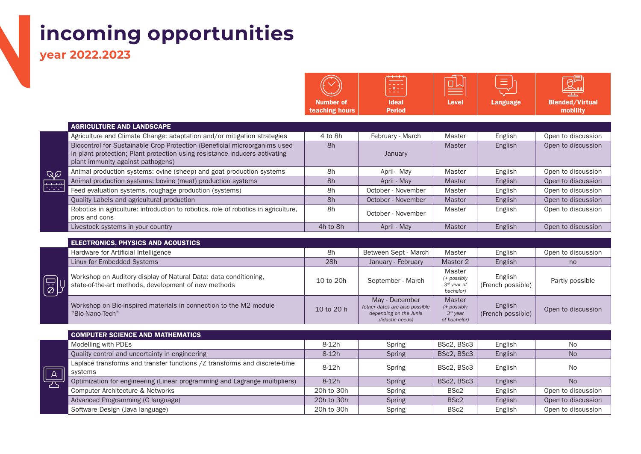# **incoming opportunities**

**year 2022.2023** 

匣

|                                    | $^{+++}$<br>- x - -<br>---    |       |          |                                    |
|------------------------------------|-------------------------------|-------|----------|------------------------------------|
| <b>Number of</b><br>teaching hours | <b>Ideal</b><br><b>Period</b> | Level | Language | <b>Blended/Virtual</b><br>mobility |

|              | <b>AGRICULTURE AND LANDSCAPE</b>                                                    |          |                    |               |         |                    |
|--------------|-------------------------------------------------------------------------------------|----------|--------------------|---------------|---------|--------------------|
|              | Agriculture and Climate Change: adaptation and/or mitigation strategies             | 4 to 8h  | February - March   | Master        | English | Open to discussion |
|              | Biocontrol for Sustainable Crop Protection (Beneficial microorganims used           | 8h       |                    | <b>Master</b> | English | Open to discussion |
|              | in plant protection; Plant protection using resistance inducers activating          |          | January            |               |         |                    |
|              | plant immunity against pathogens)                                                   |          |                    |               |         |                    |
| λØ           | Animal production systems: ovine (sheep) and goat production systems                | 8h       | April- May         | Master        | English | Open to discussion |
| لتنبث        | Animal production systems: bovine (meat) production systems                         | 8h       | April - May        | <b>Master</b> | English | Open to discussion |
| taran<br>Ali | Feed evaluation systems, roughage production (systems)                              | 8h       | October - November | Master        | English | Open to discussion |
|              | Quality Labels and agricultural production                                          | 8h       | October - November | <b>Master</b> | English | Open to discussion |
|              | Robotics in agriculture: introduction to robotics, role of robotics in agriculture, | 8h       | October - November | Master        | English | Open to discussion |
|              | pros and cons                                                                       |          |                    |               |         |                    |
|              | Livestock systems in your country                                                   | 4h to 8h | April - May        | <b>Master</b> | English | Open to discussion |

|                                                 | <b>ELECTRONICS, PHYSICS AND ACOUSTICS</b>                                                                                |            |                                                                                               |                                                            |                              |                    |
|-------------------------------------------------|--------------------------------------------------------------------------------------------------------------------------|------------|-----------------------------------------------------------------------------------------------|------------------------------------------------------------|------------------------------|--------------------|
|                                                 | Hardware for Artificial Intelligence                                                                                     | 8h         | Between Sept - March                                                                          | Master                                                     | English                      | Open to discussion |
|                                                 | Linux for Embedded Systems                                                                                               | 28h        | January - February                                                                            | Master 2                                                   | English                      | no                 |
| $\begin{matrix} \boxed{\vec{0}} \ \end{matrix}$ | Workshop on Auditory display of Natural Data: data conditioning,<br>state-of-the-art methods, development of new methods | 10 to 20h  | September - March                                                                             | Master<br>(+ possibly<br>$3^{rd}$ year of<br>bachelor)     | English<br>(French possible) | Partly possible    |
|                                                 | Workshop on Bio-inspired materials in connection to the M2 module<br>"Bio-Nano-Tech"                                     | 10 to 20 h | May - December<br>(other dates are also possible<br>depending on the Junia<br>didactic needs) | <b>Master</b><br>(+ possibly<br>$3rd$ year<br>of bachelor) | English<br>(French possible) | Open to discussion |

|    | <b>COMPUTER SCIENCE AND MATHEMATICS</b>                                              |            |               |                  |         |                    |
|----|--------------------------------------------------------------------------------------|------------|---------------|------------------|---------|--------------------|
|    | Modelling with PDEs                                                                  | $8-12h$    | Spring        | BSc2, BSc3       | English | <b>No</b>          |
|    | Quality control and uncertainty in engineering                                       | $8-12h$    | Spring        | BSc2, BSc3       | English | <b>No</b>          |
| Ά. | Laplace transforms and transfer functions /Z transforms and discrete-time<br>systems | 8-12h      | Spring        | BSc2, BSc3       | English | <b>No</b>          |
|    | Optimization for engineering (Linear programming and Lagrange multipliers)           | $8-12h$    | <b>Spring</b> | BSc2, BSc3       | English | <b>No</b>          |
|    | Computer Architecture & Networks                                                     | 20h to 30h | Spring        | BSc2             | English | Open to discussion |
|    | Advanced Programming (C language)                                                    | 20h to 30h | Spring        | BSc <sub>2</sub> | English | Open to discussion |
|    | Software Design (Java language)                                                      | 20h to 30h | Spring        | BSc <sub>2</sub> | English | Open to discussion |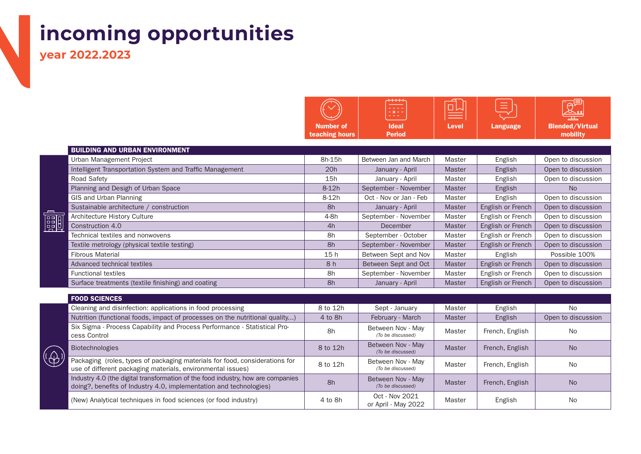# **incoming opportunities**

**year 2022.2023** 

|                             | $***$<br><del>. .</del><br>$- x - -$<br><b><i><u>Part Administration</u></i></b> | ▬     | --<br>__ | 0 <sub>0</sub>                     |
|-----------------------------|----------------------------------------------------------------------------------|-------|----------|------------------------------------|
| Number of<br>teaching hours | <b>Ideal</b><br><b>Period</b>                                                    | Level | Language | <b>Blended/Virtual</b><br>mobility |

|   | <b>BUILDING AND URBAN ENVIRONMENT</b>                    |         |                        |               |                   |                    |
|---|----------------------------------------------------------|---------|------------------------|---------------|-------------------|--------------------|
|   | Urban Management Project                                 | 8h-15h  | Between Jan and March  | Master        | English           | Open to discussion |
|   | Intelligent Transportation System and Traffic Management | 20h     | January - April        | <b>Master</b> | English           | Open to discussion |
|   | Road Safety                                              | 15h     | January - April        | Master        | English           | Open to discussion |
|   | Planning and Desigh of Urban Space                       | $8-12h$ | September - November   | <b>Master</b> | English           | No.                |
|   | GIS and Urban Planning                                   | $8-12h$ | Oct - Nov or Jan - Feb | Master        | English           | Open to discussion |
|   | Sustainable architecture / construction                  | 8h      | January - April        | <b>Master</b> | English or French | Open to discussion |
| 闘 | Architecture History Culture                             | 4-8h    | September - November   | Master        | English or French | Open to discussion |
|   | Construction 4.0                                         | 4h      | December               | <b>Master</b> | English or French | Open to discussion |
|   | Technical textiles and nonwovens                         | 8h      | September - October    | Master        | English or French | Open to discussion |
|   | Textile metrology (physical textile testing)             | 8h      | September - November   | <b>Master</b> | English or French | Open to discussion |
|   | <b>Fibrous Material</b>                                  | 15h     | Between Sept and Nov   | Master        | English           | Possible 100%      |
|   | Advanced technical textiles                              | 8h      | Between Sept and Oct   | Master        | English or French | Open to discussion |
|   | <b>Functional textiles</b>                               | 8h      | September - November   | Master        | English or French | Open to discussion |
|   | Surface treatments (textile finishing) and coating       | 8h      | January - April        | <b>Master</b> | English or French | Open to discussion |

|    | <b>FOOD SCIENCES</b>                                                                                                                                   |          |                                        |               |                 |                    |
|----|--------------------------------------------------------------------------------------------------------------------------------------------------------|----------|----------------------------------------|---------------|-----------------|--------------------|
|    | Cleaning and disinfection: applications in food processing                                                                                             | 8 to 12h | Sept - January                         | Master        | English         | N <sub>o</sub>     |
|    | Nutrition (functional foods, impact of processes on the nutritional quality)                                                                           | 4 to 8h  | February - March                       | <b>Master</b> | English         | Open to discussion |
|    | Six Sigma - Process Capability and Process Performance - Statistical Pro-<br>cess Control                                                              | 8h       | Between Nov - May<br>(To be discussed) | Master        | French, English | No                 |
|    | <b>Biotechnologies</b>                                                                                                                                 | 8 to 12h | Between Nov - May<br>(To be discussed) | <b>Master</b> | French, English | <b>No</b>          |
| Þ, | Packaging (roles, types of packaging materials for food, considerations for<br>use of different packaging materials, environmental issues)             | 8 to 12h | Between Nov - May<br>(To be discussed) | Master        | French, English | No                 |
|    | Industry 4.0 (the digital transformation of the food industry, how are companies<br>doing?, benefits of Industry 4.0, implementation and technologies) | 8h       | Between Nov - May<br>(To be discussed) | <b>Master</b> | French, English | <b>No</b>          |
|    | (New) Analytical techniques in food sciences (or food industry)                                                                                        | 4 to 8h  | Oct - Nov 2021<br>or April - May 2022  | Master        | English         | No                 |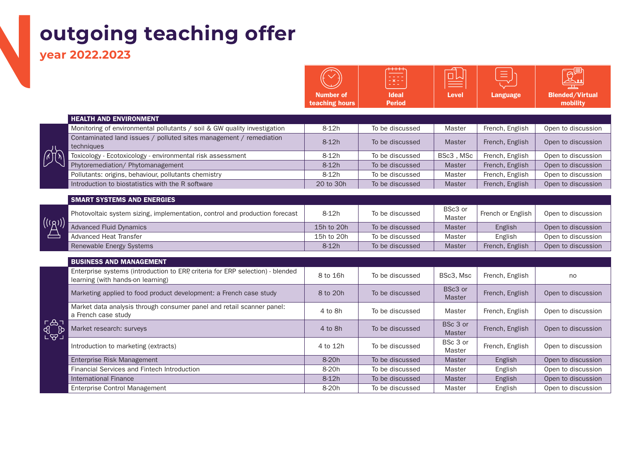### **outgoing teaching offer**

**year 2022.2023** 

|                                       |                                                                                                                     |                                    | $\frac{1}{2} \times \frac{1}{2}$ | 쁘                         | =                 |                                    |
|---------------------------------------|---------------------------------------------------------------------------------------------------------------------|------------------------------------|----------------------------------|---------------------------|-------------------|------------------------------------|
|                                       |                                                                                                                     | <b>Number of</b><br>teaching hours | <b>Ideal</b><br><b>Period</b>    | <b>Level</b>              | <b>Language</b>   | <b>Blended/Virtual</b><br>mobility |
|                                       | <b>HEALTH AND ENVIRONMENT</b>                                                                                       |                                    |                                  |                           |                   |                                    |
|                                       | Monitoring of environmental pollutants / soil & GW quality investigation                                            | $8-12h$                            | To be discussed                  | Master                    | French, English   | Open to discussion                 |
|                                       | Contaminated land issues / polluted sites management / remediation<br>techniques                                    | $8-12h$                            | To be discussed                  | <b>Master</b>             | French, English   | Open to discussion                 |
|                                       | Toxicology - Ecotoxicology - environmental risk assessment                                                          | $8-12h$                            | To be discussed                  | BSc3, MSc                 | French, English   | Open to discussion                 |
|                                       | Phytoremediation/ Phytomanagement                                                                                   | $8-12h$                            | To be discussed                  | <b>Master</b>             | French, English   | Open to discussion                 |
|                                       | Pollutants: origins, behaviour, pollutants chemistry                                                                | 8-12h                              | To be discussed                  | Master                    | French, English   | Open to discussion                 |
|                                       | Introduction to biostatistics with the R software                                                                   | 20 to 30h                          | To be discussed                  | <b>Master</b>             | French, English   | Open to discussion                 |
|                                       | <b>SMART SYSTEMS AND ENERGIES</b>                                                                                   |                                    |                                  |                           |                   |                                    |
|                                       | Photovoltaic system sizing, implementation, control and production forecast                                         | $8-12h$                            | To be discussed                  | BSc3 or<br>Master         | French or English | Open to discussion                 |
| $\left( (\overline{(\beta)}) \right)$ | <b>Advanced Fluid Dynamics</b>                                                                                      | 15h to 20h                         | To be discussed                  | <b>Master</b>             | English           | Open to discussion                 |
|                                       | <b>Advanced Heat Transfer</b>                                                                                       | 15h to 20h                         | To be discussed                  | Master                    | English           | Open to discussion                 |
|                                       | Renewable Energy Systems                                                                                            | $8-12h$                            | To be discussed                  | Master                    | French, English   | Open to discussion                 |
|                                       | <b>BUSINESS AND MANAGEMENT</b>                                                                                      |                                    |                                  |                           |                   |                                    |
|                                       | Enterprise systems (introduction to ERP, criteria for ERP selection) - blended<br>learning (with hands-on learning) | 8 to 16h                           | To be discussed                  | BSc3, Msc                 | French, English   | no                                 |
|                                       | Marketing applied to food product development: a French case study                                                  | 8 to 20h                           | To be discussed                  | BSc3 or<br>Master         | French, English   | Open to discussion                 |
|                                       | Market data analysis through consumer panel and retail scanner panel:<br>a French case study                        | 4 to 8h                            | To be discussed                  | Master                    | French, English   | Open to discussion                 |
| <b>L</b><br>POD<br>LOU                | Market research: surveys                                                                                            | 4 to 8h                            | To be discussed                  | BSc 3 or<br><b>Master</b> | French, English   | Open to discussion                 |
|                                       | Introduction to marketing (extracts)                                                                                | 4 to 12h                           | To be discussed                  | BSc 3 or<br>Master        | French, English   | Open to discussion                 |
|                                       | Enterprise Risk Management                                                                                          | 8-20h                              | To be discussed                  | <b>Master</b>             | English           | Open to discussion                 |
|                                       | Financial Services and Fintech Introduction                                                                         | 8-20h                              | To be discussed                  | Master                    | English           | Open to discussion                 |
|                                       | <b>International Finance</b>                                                                                        | $8-12h$                            | To be discussed                  | Master                    | English           | Open to discussion                 |
|                                       | Enterprise Control Management                                                                                       | 8-20h                              | To be discussed                  | Master                    | English           | Open to discussion                 |

 $A$ 

 $\overline{\phantom{0}}$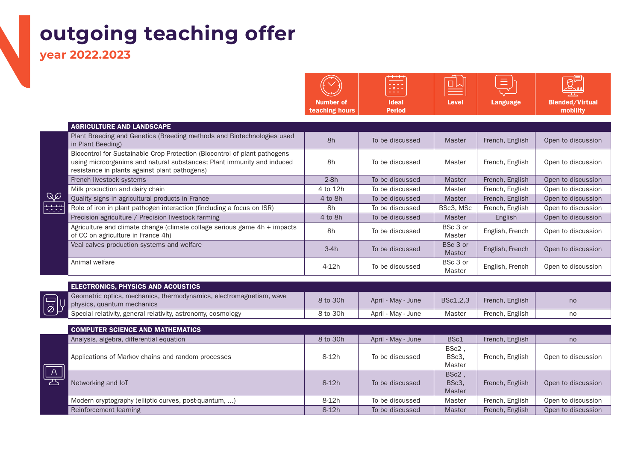### **outgoing teaching offer**

**year 2022.2023** 

 $Q$ ₩ÿ

Number of teaching hours Ideal Period Level | Language | Blended/Virtual mobility AGRICULTURE AND LANDSCAPE Plant Breeding and Genetics (Breeding methods and Biotechnologies used in Brooding and denotive (Brooding methods and Brotoch Master Master Master French, English Open to discussion<br>In Plant Beeding) Biocontrol for Sustainable Crop Protection (Biocontrol of plant pathogens using microorganims and natural substances; Plant immunity and induced resistance in plants against plant pathogens) 8h To be discussed | Master | French, English | Open to discussion French livestock systems 2-8h To be discussed Master French, English Open to discussion Milk production and dairy chain  $\begin{array}{ccc} 4 \text{ to } 12h & 4 \text{ to } 12h \end{array}$  To be discussed Master French, English Open to discussion Quality signs in agricultural products in France **4 to 8h** To be discussed Master French, English Open to discussion Role of iron in plant pathogen interaction (fincluding a focus on ISR) 8h To be discussed BSc3, MSc French, English Open to discussion Precision agriculture / Precision livestock farming  $\vert$  4 to 8h To be discussed Master English Open to discussion Agriculture and climate change (climate collage serious game 4h + impacts | Notella by BSc 3 or | BSc 3 or | BSc 3 or<br>of CC on agriculture in France 4h) aster BSc 3 or | English, French | Open to discussion Veal calves production systems and welfare 3-4h and 3-4h and 3-4h and 3-4h and 3-4h and 3-4h and 3-4h and 3-4h  $\alpha$ English, French | Open to discussion Animal welfare **Animal welfare** BSc 3 or **Animal welfare** BSc 3 or **BSc 3** or BSc 3 or | English, French | Open to discussion

 $\Theta^5$ 

ol

| <b>ELECTRONICS, PHYSICS AND ACOUSTICS</b>                                                                                                                                |          |                    |          |                 |    |
|--------------------------------------------------------------------------------------------------------------------------------------------------------------------------|----------|--------------------|----------|-----------------|----|
| Geometric optics, mechanics, thermodynamics, electromagnetism, wave<br>Geometric optics, mechanics,<br>Diplysics, quantum mechanics<br>Special relativity general relati | 8 to 30h | April - May - June | BSc1.2.3 | French, English | no |
| Special relativity, general relativity, astronomy, cosmology                                                                                                             | 8 to 30h | April - May - June | Master   | French, English | no |

|   | <b>COMPUTER SCIENCE AND MATHEMATICS</b>               |          |                    |                                 |                 |                    |
|---|-------------------------------------------------------|----------|--------------------|---------------------------------|-----------------|--------------------|
|   | Analysis, algebra, differential equation              | 8 to 30h | April - May - June | BSc1                            | French, English | no                 |
| A | Applications of Markov chains and random processes    | 8-12h    | To be discussed    | BSc2,<br>BSc3,<br>Master        | French, English | Open to discussion |
|   | Networking and IoT                                    | $8-12h$  | To be discussed    | BSc2,<br>BSc3,<br><b>Master</b> | French, English | Open to discussion |
|   | Modern cryptography (elliptic curves, post-quantum, ) | $8-12h$  | To be discussed    | Master                          | French, English | Open to discussion |
|   | Reinforcement learning                                | $8-12h$  | To be discussed    | <b>Master</b>                   | French, English | Open to discussion |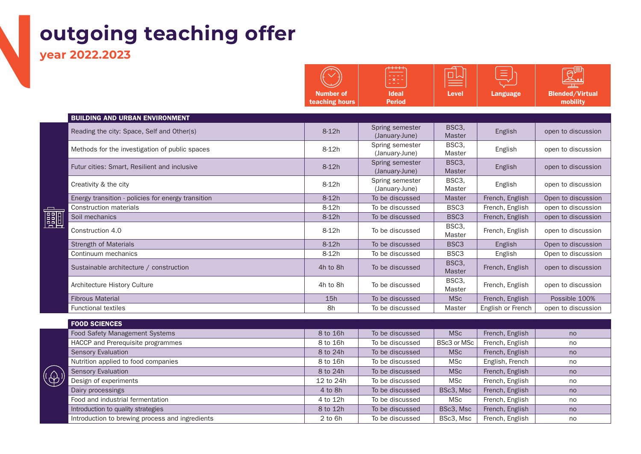### **outgoing teaching offer**

**year 2022.2023** 

|            |                                                    | <b>Number of</b><br>teaching hours | د د د د<br>oxor<br><b>Ideal</b><br><b>Period</b> | 미시<br><b>Level</b>           | $=$<br><b>Language</b> | $\Theta^\mathtt{v}$<br><b>Blended/Virtual</b><br>mobility |
|------------|----------------------------------------------------|------------------------------------|--------------------------------------------------|------------------------------|------------------------|-----------------------------------------------------------|
|            | <b>BUILDING AND URBAN ENVIRONMENT</b>              |                                    |                                                  |                              |                        |                                                           |
|            | Reading the city: Space, Self and Other(s)         | $8-12h$                            | Spring semester<br>(January-June)                | BSC <sub>3</sub> ,<br>Master | English                | open to discussion                                        |
|            | Methods for the investigation of public spaces     | 8-12h                              | Spring semester<br>(January-June)                | BSC3,<br>Master              | English                | open to discussion                                        |
|            | Futur cities: Smart, Resilient and inclusive       | $8-12h$                            | Spring semester<br>(January-June)                | BSC3,<br>Master              | English                | open to discussion                                        |
|            | Creativity & the city                              | 8-12h                              | Spring semester<br>(January-June)                | BSC3,<br>Master              | English                | open to discussion                                        |
|            | Energy transition - policies for energy transition | $8-12h$                            | To be discussed                                  | <b>Master</b>                | French, English        | Open to discussion                                        |
|            | <b>Construction materials</b>                      | $8-12h$                            | To be discussed                                  | BSC <sub>3</sub>             | French, English        | open to discussion                                        |
| <b>eal</b> | Soil mechanics                                     | $8-12h$                            | To be discussed                                  | BSC <sub>3</sub>             | French, English        | open to discussion                                        |
|            | Construction 4.0                                   | $8-12h$                            | To be discussed                                  | BSC3,<br>Master              | French, English        | open to discussion                                        |
|            | <b>Strength of Materials</b>                       | $8-12h$                            | To be discussed                                  | BSC <sub>3</sub>             | English                | Open to discussion                                        |
|            | Continuum mechanics                                | 8-12h                              | To be discussed                                  | BSC <sub>3</sub>             | English                | Open to discussion                                        |
|            | Sustainable architecture / construction            | 4h to 8h                           | To be discussed                                  | BSC3,<br><b>Master</b>       | French, English        | open to discussion                                        |
|            | Architecture History Culture                       | 4h to 8h                           | To be discussed                                  | BSC3,<br>Master              | French, English        | open to discussion                                        |
|            | <b>Fibrous Material</b>                            | 15h                                | To be discussed                                  | <b>MSc</b>                   | French, English        | Possible 100%                                             |
|            | <b>Functional textiles</b>                         | 8h                                 | To be discussed                                  | Master                       | English or French      | open to discussion                                        |
|            |                                                    |                                    |                                                  |                              |                        |                                                           |
|            | <b>FOOD SCIENCES</b>                               |                                    |                                                  |                              |                        |                                                           |
|            | Food Safety Management Systems                     | 8 to 16h                           | To be discussed                                  | <b>MSc</b>                   | French, English        | no                                                        |
|            | HACCP and Prerequisite programmes                  | 8 to 16h                           | To be discussed                                  | BSc3 or MSc                  | French, English        | no                                                        |
|            | <b>Sensory Evaluation</b>                          | 8 to 24h                           | To be discussed                                  | <b>MSc</b>                   | French, English        | no                                                        |
|            | Nutrition applied to food companies                | 8 to 16h                           | To be discussed                                  | <b>MSc</b>                   | English, French        | no                                                        |



| Food Safety Management Systems                  | 8 to 16h    | To be discussed | <b>MSc</b>         | French, English | no |
|-------------------------------------------------|-------------|-----------------|--------------------|-----------------|----|
| HACCP and Prerequisite programmes               | 8 to 16h    | To be discussed | <b>BSc3 or MSc</b> | French, English | no |
| <b>Sensory Evaluation</b>                       | 8 to 24h    | To be discussed | <b>MSc</b>         | French, English | no |
| Nutrition applied to food companies             | 8 to 16h    | To be discussed | <b>MSc</b>         | English, French | no |
| <b>Sensory Evaluation</b>                       | 8 to 24h    | To be discussed | <b>MSc</b>         | French, English | no |
| Design of experiments                           | 12 to 24h   | To be discussed | <b>MSc</b>         | French, English | no |
| Dairy processings                               | 4 to 8h     | To be discussed | BSc3, Msc          | French, English | no |
| Food and industrial fermentation                | 4 to 12h    | To be discussed | <b>MSc</b>         | French, English | no |
| Introduction to quality strategies              | 8 to 12h    | To be discussed | BSc3, Msc          | French, English | no |
| Introduction to brewing process and ingredients | $2$ to $6h$ | To be discussed | BSc3, Msc          | French, English | no |
|                                                 |             |                 |                    |                 |    |